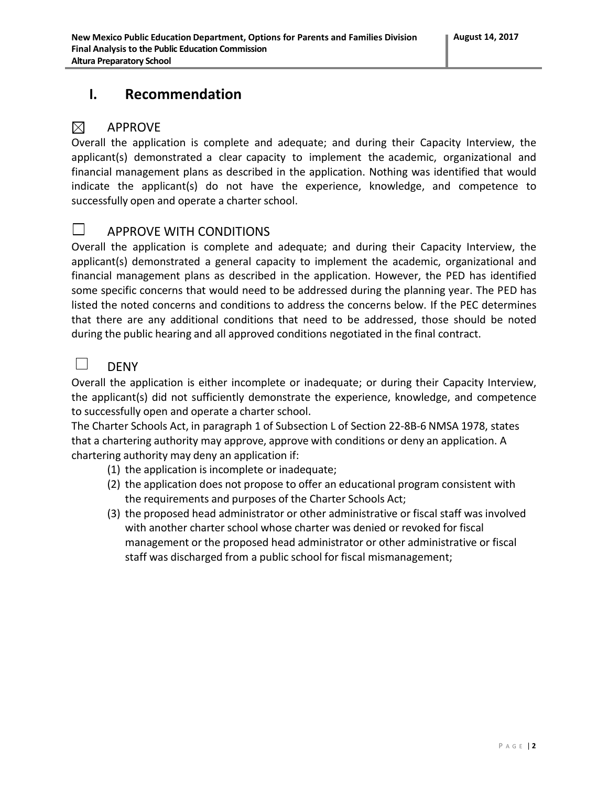# **I. Recommendation**

#### $\boxtimes$ APPROVE

Overall the application is complete and adequate; and during their Capacity Interview, the applicant(s) demonstrated a clear capacity to implement the academic, organizational and financial management plans as described in the application. Nothing was identified that would indicate the applicant(s) do not have the experience, knowledge, and competence to successfully open and operate a charter school.

### $\Box$

## APPROVE WITH CONDITIONS

Overall the application is complete and adequate; and during their Capacity Interview, the applicant(s) demonstrated a general capacity to implement the academic, organizational and financial management plans as described in the application. However, the PED has identified some specific concerns that would need to be addressed during the planning year. The PED has listed the noted concerns and conditions to address the concerns below. If the PEC determines that there are any additional conditions that need to be addressed, those should be noted during the public hearing and all approved conditions negotiated in the final contract.

#### $\Box$ DENY

Overall the application is either incomplete or inadequate; or during their Capacity Interview, the applicant(s) did not sufficiently demonstrate the experience, knowledge, and competence to successfully open and operate a charter school.

The Charter Schools Act, in paragraph 1 of Subsection L of Section 22-8B-6 NMSA 1978, states that a chartering authority may approve, approve with conditions or deny an application. A chartering authority may deny an application if:

- (1) the application is incomplete or inadequate;
- (2) the application does not propose to offer an educational program consistent with the requirements and purposes of the Charter Schools Act;
- (3) the proposed head administrator or other administrative or fiscal staff was involved with another charter school whose charter was denied or revoked for fiscal management or the proposed head administrator or other administrative or fiscal staff was discharged from a public school for fiscal mismanagement;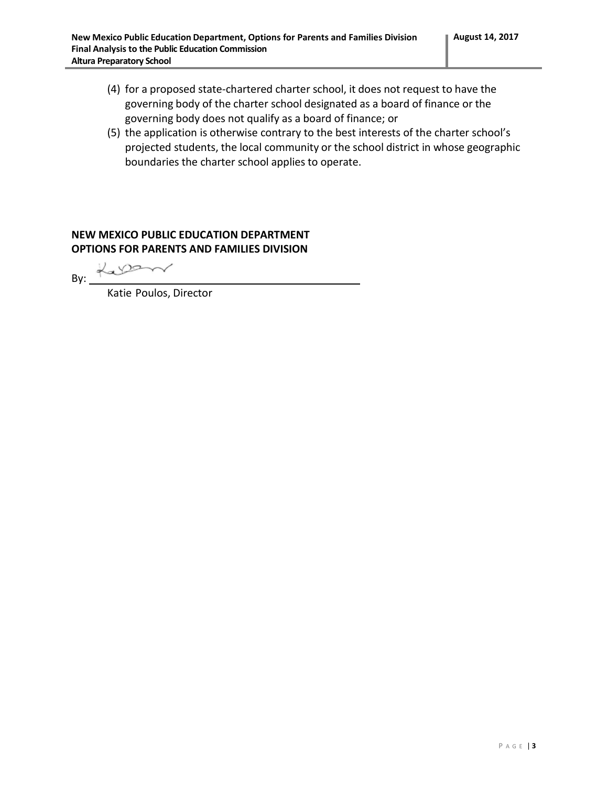- (4) for a proposed state-chartered charter school, it does not request to have the governing body of the charter school designated as a board of finance or the governing body does not qualify as a board of finance; or
- (5) the application is otherwise contrary to the best interests of the charter school's projected students, the local community or the school district in whose geographic boundaries the charter school applies to operate.

### **NEW MEXICO PUBLIC EDUCATION DEPARTMENT OPTIONS FOR PARENTS AND FAMILIES DIVISION**

Lasson By:

Katie Poulos, Director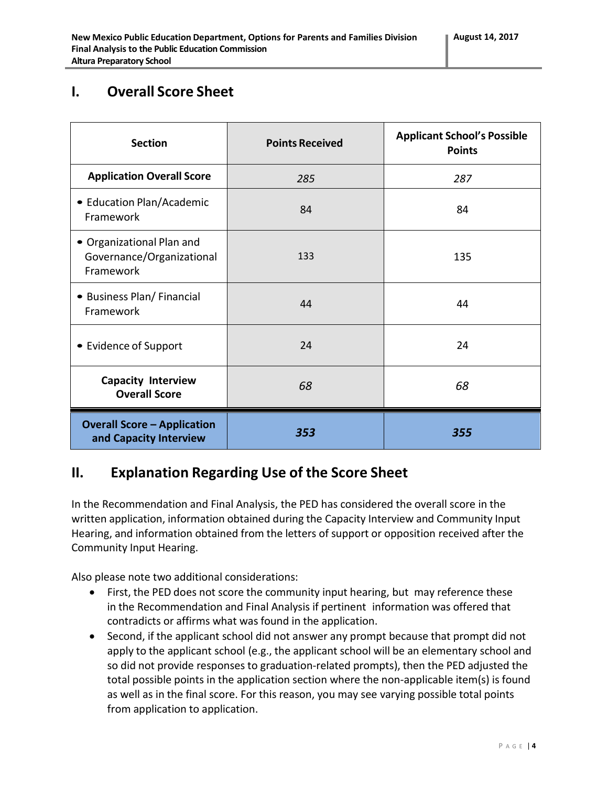# **I. Overall Score Sheet**

| <b>Section</b>                                                      | <b>Points Received</b> | <b>Applicant School's Possible</b><br><b>Points</b> |
|---------------------------------------------------------------------|------------------------|-----------------------------------------------------|
| <b>Application Overall Score</b>                                    | 285                    | 287                                                 |
| • Education Plan/Academic<br>Framework                              | 84                     | 84                                                  |
| • Organizational Plan and<br>Governance/Organizational<br>Framework | 133                    | 135                                                 |
| • Business Plan/Financial<br>Framework                              | 44                     | 44                                                  |
| • Evidence of Support                                               | 24                     | 24                                                  |
| <b>Capacity Interview</b><br><b>Overall Score</b>                   | 68                     | 68                                                  |
| <b>Overall Score - Application</b><br>and Capacity Interview        | 353                    | 355                                                 |

# **II. Explanation Regarding Use of the Score Sheet**

In the Recommendation and Final Analysis, the PED has considered the overall score in the written application, information obtained during the Capacity Interview and Community Input Hearing, and information obtained from the letters of support or opposition received after the Community Input Hearing.

Also please note two additional considerations:

- First, the PED does not score the community input hearing, but may reference these in the Recommendation and Final Analysis if pertinent information was offered that contradicts or affirms what was found in the application.
- Second, if the applicant school did not answer any prompt because that prompt did not apply to the applicant school (e.g., the applicant school will be an elementary school and so did not provide responses to graduation-related prompts), then the PED adjusted the total possible points in the application section where the non-applicable item(s) is found as well as in the final score. For this reason, you may see varying possible total points from application to application.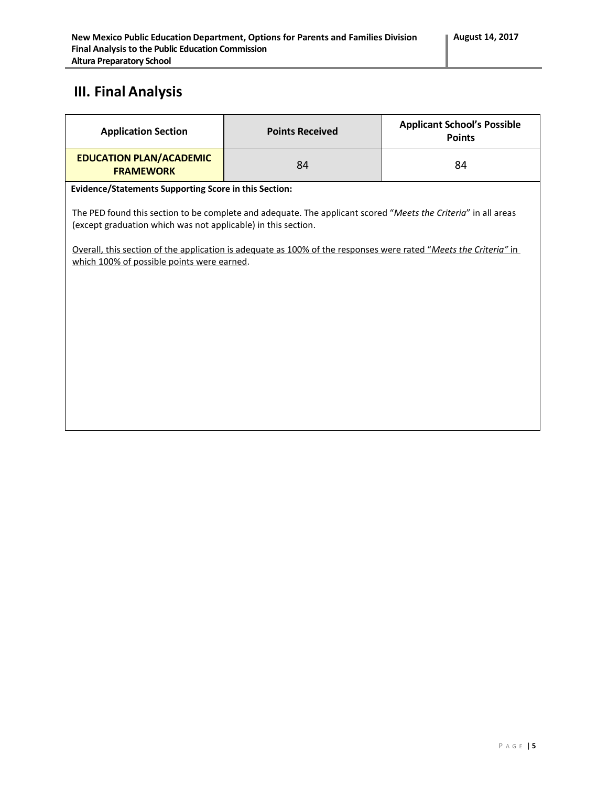# **III. Final Analysis**

| <b>Application Section</b>                                                                                                                                                                                                                                                                                                                        | <b>Points Received</b> | <b>Applicant School's Possible</b><br><b>Points</b> |  |  |
|---------------------------------------------------------------------------------------------------------------------------------------------------------------------------------------------------------------------------------------------------------------------------------------------------------------------------------------------------|------------------------|-----------------------------------------------------|--|--|
| <b>EDUCATION PLAN/ACADEMIC</b><br><b>FRAMEWORK</b>                                                                                                                                                                                                                                                                                                | 84                     | 84                                                  |  |  |
| <b>Evidence/Statements Supporting Score in this Section:</b>                                                                                                                                                                                                                                                                                      |                        |                                                     |  |  |
| The PED found this section to be complete and adequate. The applicant scored "Meets the Criteria" in all areas<br>(except graduation which was not applicable) in this section.<br>Overall, this section of the application is adequate as 100% of the responses were rated "Meets the Criteria" in<br>which 100% of possible points were earned. |                        |                                                     |  |  |
|                                                                                                                                                                                                                                                                                                                                                   |                        |                                                     |  |  |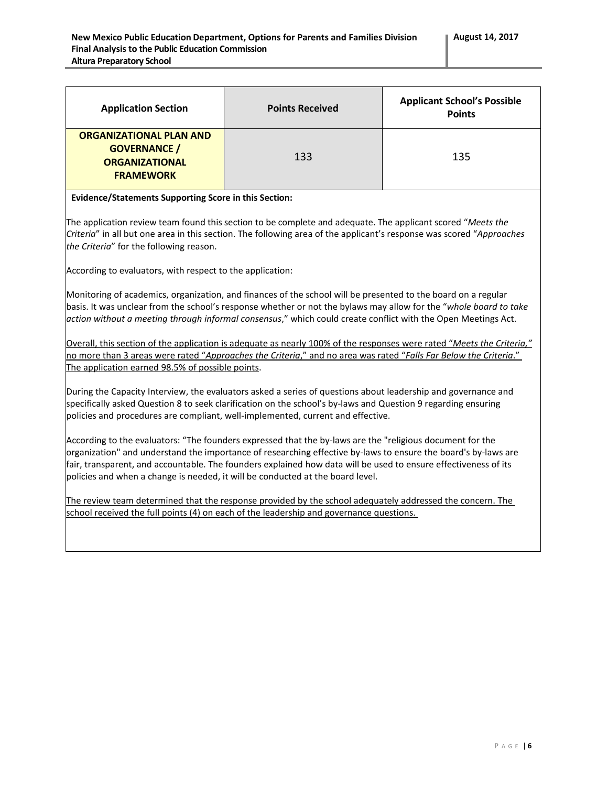| <b>Application Section</b>                                                                         | <b>Points Received</b> | <b>Applicant School's Possible</b><br><b>Points</b> |
|----------------------------------------------------------------------------------------------------|------------------------|-----------------------------------------------------|
| <b>ORGANIZATIONAL PLAN AND</b><br><b>GOVERNANCE /</b><br><b>ORGANIZATIONAL</b><br><b>FRAMEWORK</b> | 133                    | 135                                                 |

#### **Evidence/Statements Supporting Score in this Section:**

The application review team found this section to be complete and adequate. The applicant scored "*Meets the Criteria*" in all but one area in this section. The following area of the applicant's response was scored "*Approaches the Criteria*" for the following reason.

According to evaluators, with respect to the application:

Monitoring of academics, organization, and finances of the school will be presented to the board on a regular basis. It was unclear from the school's response whether or not the bylaws may allow for the "*whole board to take action without a meeting through informal consensus*," which could create conflict with the Open Meetings Act.

Overall, this section of the application is adequate as nearly 100% of the responses were rated "*Meets the Criteria,"*  no more than 3 areas were rated "*Approaches the Criteria*," and no area was rated "*Falls Far Below the Criteria*." The application earned 98.5% of possible points.

During the Capacity Interview, the evaluators asked a series of questions about leadership and governance and specifically asked Question 8 to seek clarification on the school's by-laws and Question 9 regarding ensuring policies and procedures are compliant, well-implemented, current and effective.

According to the evaluators: "The founders expressed that the by-laws are the "religious document for the organization" and understand the importance of researching effective by-laws to ensure the board's by-laws are fair, transparent, and accountable. The founders explained how data will be used to ensure effectiveness of its policies and when a change is needed, it will be conducted at the board level.

The review team determined that the response provided by the school adequately addressed the concern. The school received the full points (4) on each of the leadership and governance questions.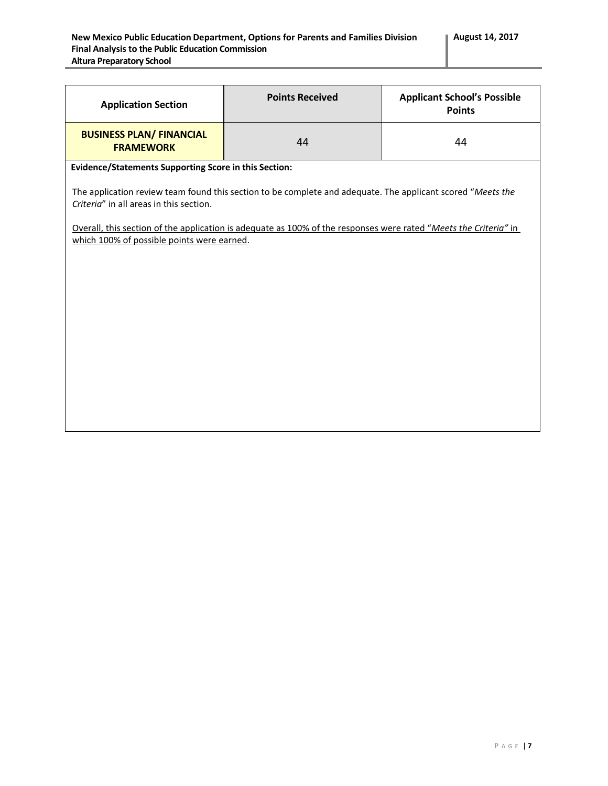| <b>Application Section</b>                                                                                                                                                                                                                                                                                               | <b>Points Received</b> | <b>Applicant School's Possible</b><br><b>Points</b> |  |
|--------------------------------------------------------------------------------------------------------------------------------------------------------------------------------------------------------------------------------------------------------------------------------------------------------------------------|------------------------|-----------------------------------------------------|--|
| <b>BUSINESS PLAN/ FINANCIAL</b><br><b>FRAMEWORK</b>                                                                                                                                                                                                                                                                      | 44                     | 44                                                  |  |
| <b>Evidence/Statements Supporting Score in this Section:</b>                                                                                                                                                                                                                                                             |                        |                                                     |  |
| The application review team found this section to be complete and adequate. The applicant scored "Meets the<br>Criteria" in all areas in this section.<br>Overall, this section of the application is adequate as 100% of the responses were rated "Meets the Criteria" in<br>which 100% of possible points were earned. |                        |                                                     |  |
|                                                                                                                                                                                                                                                                                                                          |                        |                                                     |  |